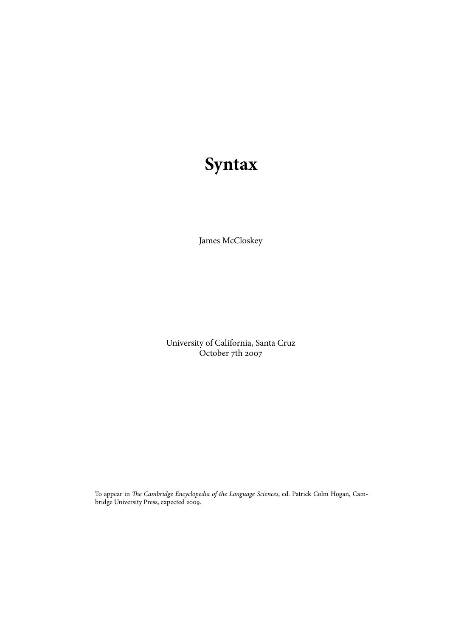# **Syntax**

James McCloskey

University of California, Santa Cruz October  $7th$  2007

To appear in The Cambridge Encyclopedia of the Language Sciences, ed. Patrick Colm Hogan, Cambridge University Press, expected 2009.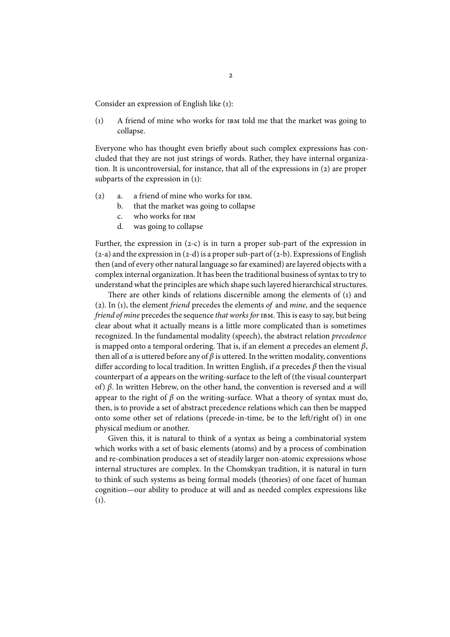Consider an expression of English like (1):

 $(1)$  A friend of mine who works for  $IBM$  told me that the market was going to collapse.

Everyone who has thought even briefly about such complex expressions has concluded that they are not just strings of words. Rather, they have internal organization. It is uncontroversial, for instance, that all of the expressions in  $(2)$  are proper subparts of the expression in  $(1)$ :

- $(2)$  a. a friend of mine who works for  $IBM$ .
	- b. that the market was going to collapse
	- c. who works for
	- d. was going to collapse

Further, the expression in  $(2-c)$  is in turn a proper sub-part of the expression in  $(z-a)$  and the expression in  $(z-d)$  is a proper sub-part of  $(z-b)$ . Expressions of English then (and of every other natural language so far examined) are layered objects with a complex internal organization. It has been the traditional business of syntax to try to understand what the principles are which shape such layered hierarchical structures.

There are other kinds of relations discernible among the elements of  $(i)$  and (2). In (1), the element *friend* precedes the elements of and *mine*, and the sequence friend of mine precedes the sequence that works for IBM. This is easy to say, but being clear about what it actually means is a little more complicated than is sometimes recognized. In the fundamental modality (speech), the abstract relation precedence is mapped onto a temporal ordering. That is, if an element  $\alpha$  precedes an element  $\beta$ , then all of  $\alpha$  is uttered before any of  $\beta$  is uttered. In the written modality, conventions differ according to local tradition. In written English, if  $\alpha$  precedes  $\beta$  then the visual counterpart of  $\alpha$  appears on the writing-surface to the left of (the visual counterpart of) β. In written Hebrew, on the other hand, the convention is reversed and  $α$  will appear to the right of  $\beta$  on the writing-surface. What a theory of syntax must do, then, is to provide a set of abstract precedence relations which can then be mapped onto some other set of relations (precede-in-time, be to the left/right of) in one physical medium or another.

Given this, it is natural to think of a syntax as being a combinatorial system which works with a set of basic elements (atoms) and by a process of combination and re-combination produces a set of steadily larger non-atomic expressions whose internal structures are complex. In the Chomskyan tradition, it is natural in turn to think of such systems as being formal models (theories) of one facet of human cognition—our ability to produce at will and as needed complex expressions like  $(1).$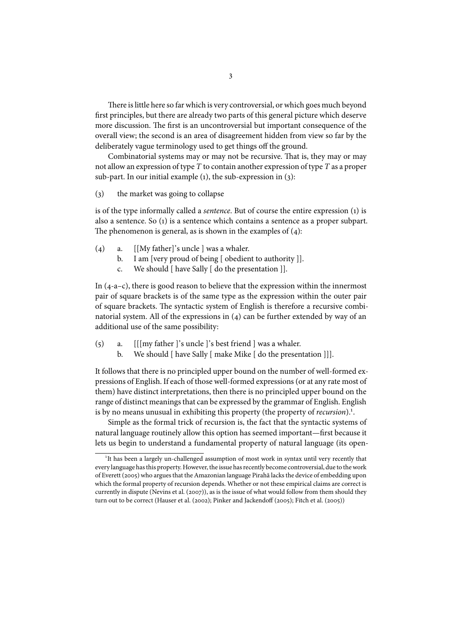There is little here so far which is very controversial, or which goes much beyond first principles, but there are already two parts of this general picture which deserve more discussion. The first is an uncontroversial but important consequence of the overall view; the second is an area of disagreement hidden from view so far by the deliberately vague terminology used to get things off the ground.

Combinatorial systems may or may not be recursive. That is, they may or may not allow an expression of type T to contain another expression of type T as a proper sub-part. In our initial example  $(i)$ , the sub-expression in  $(j)$ :

 $(3)$  the market was going to collapse

is of the type informally called a *sentence*. But of course the entire expression  $(1)$  is also a sentence. So (1) is a sentence which contains a sentence as a proper subpart. The phenomenon is general, as is shown in the examples of  $(4)$ :

- (4) a.  $\left[\frac{Mv}{\text{father}}\right]$ 's uncle  $\left[\frac{1}{2} \text{ was a whether.}\right]$ 
	- b. I am [very proud of being [ obedient to authority ]].
	- c. We should [ have Sally [ do the presentation ]].

In  $(4-a-c)$ , there is good reason to believe that the expression within the innermost pair of square brackets is of the same type as the expression within the outer pair of square brackets. The syntactic system of English is therefore a recursive combinatorial system. All of the expressions in  $(4)$  can be further extended by way of an additional use of the same possibility:

- $(5)$  a. [[[my father ]'s uncle ]'s best friend ] was a whaler.
	- b. We should [ have Sally [ make Mike [ do the presentation ]]].

It follows that there is no principled upper bound on the number of well-formed expressions of English. If each of those well-formed expressions (or at any rate most of them) have distinct interpretations, then there is no principled upper bound on the range of distinct meanings that can be expressed by the grammar of English. English is by no means unusual in exhibiting this property (the property of recursion).<sup>1</sup>.

Simple as the formal trick of recursion is, the fact that the syntactic systems of natural language routinely allow this option has seemed important—first because it lets us begin to understand a fundamental property of natural language (its open-

<sup>&</sup>lt;sup>1</sup>It has been a largely un-challenged assumption of most work in syntax until very recently that every language has this property. However, the issue has recently become controversial, due to the work of Everett (2005) who argues that the Amazonian language Pirahã lacks the device of embedding upon which the formal property of recursion depends. Whether or not these empirical claims are correct is currently in dispute (Nevins et al. (2007)), as is the issue of what would follow from them should they turn out to be correct (Hauser et al. (2002); Pinker and Jackendoff (2005); Fitch et al. (2005))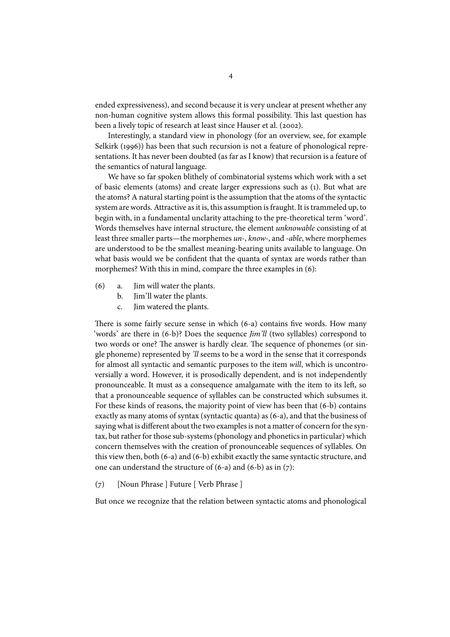ended expressiveness), and second because it is very unclear at present whether any non-human cognitive system allows this formal possibility. This last question has been a lively topic of research at least since Hauser et al. (2002).

Interestingly, a standard view in phonology (for an overview, see, for example Selkirk  $(1996)$ ) has been that such recursion is not a feature of phonological representations. It has never been doubted (as far as I know) that recursion is a feature of the semantics of natural language.

We have so far spoken blithely of combinatorial systems which work with a set of basic elements (atoms) and create larger expressions such as (). But what are the atoms? A natural starting point is the assumption that the atoms of the syntactic system are words. Attractive as it is, this assumption is fraught. It is trammeled up, to begin with, in a fundamental unclarity attaching to the pre-theoretical term 'word'. Words themselves have internal structure, the element unknowable consisting of at least three smaller parts—the morphemes un-, know-, and -able, where morphemes are understood to be the smallest meaning-bearing units available to language. On what basis would we be confident that the quanta of syntax are words rather than morphemes? With this in mind, compare the three examples in  $(6)$ :

- $(6)$  a. Jim will water the plants.
	- b. Jim'll water the plants.
	- c. Jim watered the plants.

There is some fairly secure sense in which  $(6-a)$  contains five words. How many 'words' are there in (6-b)? Does the sequence *Jim'll* (two syllables) correspond to two words or one? The answer is hardly clear. The sequence of phonemes (or single phoneme) represented by 'll seems to be a word in the sense that it corresponds for almost all syntactic and semantic purposes to the item will, which is uncontroversially a word. However, it is prosodically dependent, and is not independently pronounceable. It must as a consequence amalgamate with the item to its left, so that a pronounceable sequence of syllables can be constructed which subsumes it. For these kinds of reasons, the majority point of view has been that  $(6-b)$  contains exactly as many atoms of syntax (syntactic quanta) as  $(6-a)$ , and that the business of saying what is different about the two examples is not a matter of concern for the syntax, but rather for those sub-systems (phonology and phonetics in particular) which concern themselves with the creation of pronounceable sequences of syllables. On this view then, both  $(6-a)$  and  $(6-b)$  exhibit exactly the same syntactic structure, and one can understand the structure of  $(6-a)$  and  $(6-b)$  as in  $(7)$ :

(7) [Noun Phrase ] Future [ Verb Phrase ]

But once we recognize that the relation between syntactic atoms and phonological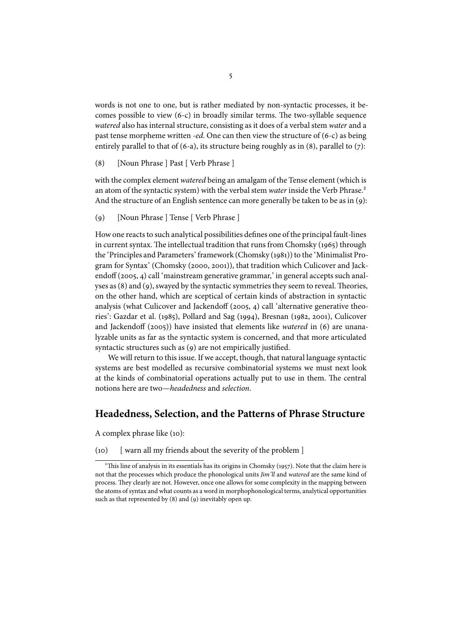words is not one to one, but is rather mediated by non-syntactic processes, it becomes possible to view  $(6-c)$  in broadly similar terms. The two-syllable sequence watered also has internal structure, consisting as it does of a verbal stem water and a past tense morpheme written *-ed*. One can then view the structure of  $(6-c)$  as being entirely parallel to that of (6-a), its structure being roughly as in (8), parallel to (7):

() [Noun Phrase ] Past [ Verb Phrase ]

with the complex element *watered* being an amalgam of the Tense element (which is an atom of the syntactic system) with the verbal stem water inside the Verb Phrase.<sup>2</sup> And the structure of an English sentence can more generally be taken to be as in  $(q)$ :

() [Noun Phrase ] Tense [ Verb Phrase ]

How one reacts to such analytical possibilities defines one of the principal fault-lines in current syntax. The intellectual tradition that runs from Chomsky (1965) through the 'Principles and Parameters' framework (Chomsky (1981)) to the 'Minimalist Program for Syntax' (Chomsky (2000, 2001)), that tradition which Culicover and Jackendoff (2005, 4) call 'mainstream generative grammar,' in general accepts such analyses as  $(8)$  and  $(9)$ , swayed by the syntactic symmetries they seem to reveal. Theories, on the other hand, which are sceptical of certain kinds of abstraction in syntactic analysis (what Culicover and Jackendoff (2005, 4) call 'alternative generative theories': Gazdar et al. (1985), Pollard and Sag (1994), Bresnan (1982, 2001), Culicover and Jackendoff (2005)) have insisted that elements like watered in (6) are unanalyzable units as far as the syntactic system is concerned, and that more articulated syntactic structures such as (9) are not empirically justified.

We will return to this issue. If we accept, though, that natural language syntactic systems are best modelled as recursive combinatorial systems we must next look at the kinds of combinatorial operations actually put to use in them. The central notions here are two—headedness and selection.

### **Headedness, Selection, and the Patterns of Phrase Structure**

A complex phrase like (10):

(10) [ warn all my friends about the severity of the problem ]

<sup>&</sup>lt;sup>2</sup>This line of analysis in its essentials has its origins in Chomsky (1957). Note that the claim here is not that the processes which produce the phonological units Jim'll and watered are the same kind of process. They clearly are not. However, once one allows for some complexity in the mapping between the atoms of syntax and what counts as a word in morphophonological terms, analytical opportunities such as that represented by  $(8)$  and  $(9)$  inevitably open up.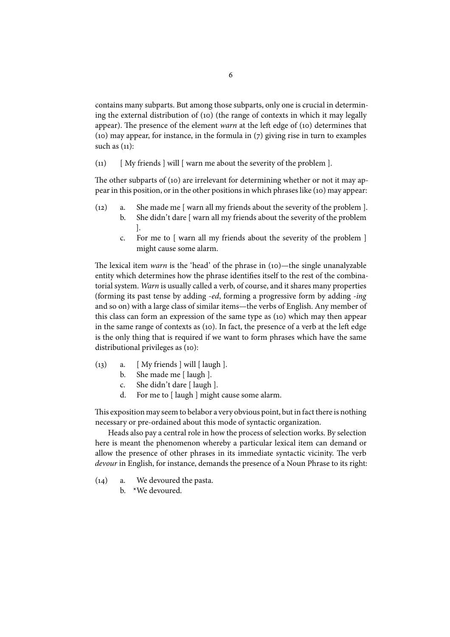contains many subparts. But among those subparts, only one is crucial in determining the external distribution of  $(10)$  (the range of contexts in which it may legally appear). The presence of the element warn at the left edge of (10) determines that (10) may appear, for instance, in the formula in  $(7)$  giving rise in turn to examples such as  $(11)$ :

(11)  $\left[$  My friends  $\right]$  will  $\left[$  warn me about the severity of the problem  $\left]$ .

The other subparts of  $(i)$  are irrelevant for determining whether or not it may appear in this position, or in the other positions in which phrases like (10) may appear:

- $(12)$  a. She made me [ warn all my friends about the severity of the problem ].
	- b. She didn't dare [ warn all my friends about the severity of the problem ].
		- c. For me to [ warn all my friends about the severity of the problem ] might cause some alarm.

The lexical item *warn* is the 'head' of the phrase in  $(10)$ —the single unanalyzable entity which determines how the phrase identifies itself to the rest of the combinatorial system. Warn is usually called a verb, of course, and it shares many properties (forming its past tense by adding -ed, forming a progressive form by adding -ing and so on) with a large class of similar items—the verbs of English. Any member of this class can form an expression of the same type as (10) which may then appear in the same range of contexts as (10). In fact, the presence of a verb at the left edge is the only thing that is required if we want to form phrases which have the same distributional privileges as  $(10)$ :

- $(13)$  a. [ My friends ] will [ laugh ].
	- b. She made me [ laugh ].
	- c. She didn't dare [ laugh ].
	- d. For me to [ laugh ] might cause some alarm.

This exposition may seem to belabor a very obvious point, but in fact there is nothing necessary or pre-ordained about this mode of syntactic organization.

Heads also pay a central role in how the process of selection works. By selection here is meant the phenomenon whereby a particular lexical item can demand or allow the presence of other phrases in its immediate syntactic vicinity. The verb devour in English, for instance, demands the presence of a Noun Phrase to its right:

- $(14)$  a. We devoured the pasta.
	- b. \*We devoured.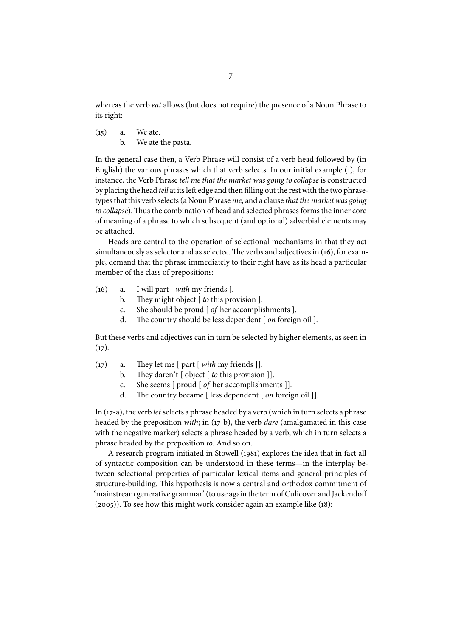whereas the verb eat allows (but does not require) the presence of a Noun Phrase to its right:

 $(15)$  a. We ate. b. We ate the pasta.

In the general case then, a Verb Phrase will consist of a verb head followed by (in English) the various phrases which that verb selects. In our initial example (), for instance, the Verb Phrase tell me that the market was going to collapse is constructed by placing the head tell at its left edge and then filling out the rest with the two phrasetypes that this verb selects (a Noun Phrase me, and a clause that the market was going to collapse). Thus the combination of head and selected phrases forms the inner core of meaning of a phrase to which subsequent (and optional) adverbial elements may be attached.

Heads are central to the operation of selectional mechanisms in that they act simultaneously as selector and as selectee. The verbs and adjectives in (16), for example, demand that the phrase immediately to their right have as its head a particular member of the class of prepositions:

- $(16)$  a. I will part [ with my friends ].
	- b. They might object  $\lceil$  to this provision  $\rceil$ .
	- c. She should be proud [ of her accomplishments ].
	- d. The country should be less dependent  $[$  *on* foreign oil  $]$ .

But these verbs and adjectives can in turn be selected by higher elements, as seen in  $(17):$ 

- (17) a. They let me [ part [ with my friends ]].
	- b. They daren't  $\lceil$  object  $\lceil$  to this provision  $\rceil$ .
	- c. She seems [ proud [ of her accomplishments ]].
	- d. The country became [ less dependent  $[$  *on* foreign oil ]].

In  $(17-a)$ , the verb let selects a phrase headed by a verb (which in turn selects a phrase headed by the preposition *with*; in  $(17-b)$ , the verb *dare* (amalgamated in this case with the negative marker) selects a phrase headed by a verb, which in turn selects a phrase headed by the preposition to. And so on.

A research program initiated in Stowell (1981) explores the idea that in fact all of syntactic composition can be understood in these terms—in the interplay between selectional properties of particular lexical items and general principles of structure-building. This hypothesis is now a central and orthodox commitment of 'mainstream generative grammar' (to use again the term of Culicover and Jackendoff  $(2005)$ ). To see how this might work consider again an example like  $(18)$ :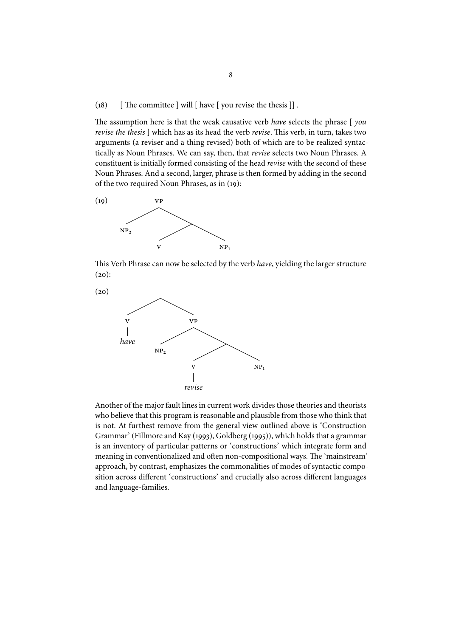#### (18)  $\int$  The committee  $\vert$  will  $\vert$  have  $\vert$  you revise the thesis  $\vert$ .

The assumption here is that the weak causative verb have selects the phrase  $[$  you revise the thesis ] which has as its head the verb revise. This verb, in turn, takes two arguments (a reviser and a thing revised) both of which are to be realized syntactically as Noun Phrases. We can say, then, that revise selects two Noun Phrases. A constituent is initially formed consisting of the head revise with the second of these Noun Phrases. And a second, larger, phrase is then formed by adding in the second of the two required Noun Phrases, as in  $(19)$ :



This Verb Phrase can now be selected by the verb have, yielding the larger structure  $(20):$ 



Another of the major fault lines in current work divides those theories and theorists who believe that this program is reasonable and plausible from those who think that is not. At furthest remove from the general view outlined above is 'Construction Grammar' (Fillmore and Kay (1993), Goldberg (1995)), which holds that a grammar is an inventory of particular patterns or 'constructions' which integrate form and meaning in conventionalized and often non-compositional ways. The 'mainstream' approach, by contrast, emphasizes the commonalities of modes of syntactic composition across different 'constructions' and crucially also across different languages and language-families.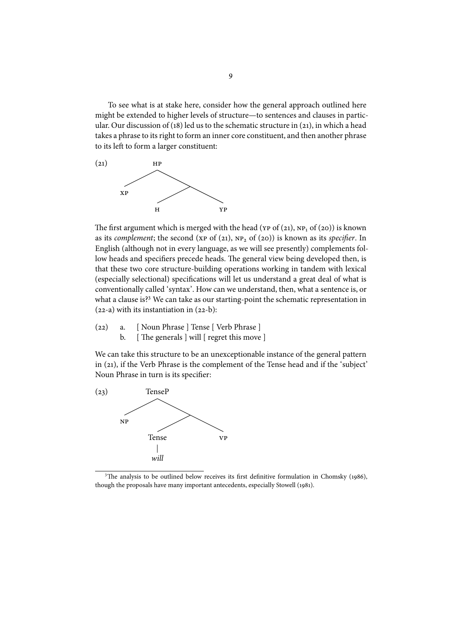To see what is at stake here, consider how the general approach outlined here might be extended to higher levels of structure—to sentences and clauses in particular. Our discussion of (18) led us to the schematic structure in (21), in which a head takes a phrase to its right to form an inner core constituent, and then another phrase to its left to form a larger constituent:



The first argument which is merged with the head ( $YP$  of ( $21$ ),  $NP_1$  of ( $20$ )) is known as its complement; the second ( $XP$  of (21),  $NP_2$  of (20)) is known as its specifier. In English (although not in every language, as we will see presently) complements follow heads and specifiers precede heads. The general view being developed then, is that these two core structure-building operations working in tandem with lexical (especially selectional) specifications will let us understand a great deal of what is conventionally called 'syntax'. How can we understand, then, what a sentence is, or what a clause is?<sup>3</sup> We can take as our starting-point the schematic representation in  $(22-a)$  with its instantiation in  $(22-b)$ :

- (22) a. [ Noun Phrase ] Tense [ Verb Phrase ]
	- b. [ The generals ] will [ regret this move ]

We can take this structure to be an unexceptionable instance of the general pattern in (21), if the Verb Phrase is the complement of the Tense head and if the 'subject' Noun Phrase in turn is its specifier:



<sup>&</sup>lt;sup>3</sup>The analysis to be outlined below receives its first definitive formulation in Chomsky (1986), though the proposals have many important antecedents, especially Stowell (1981).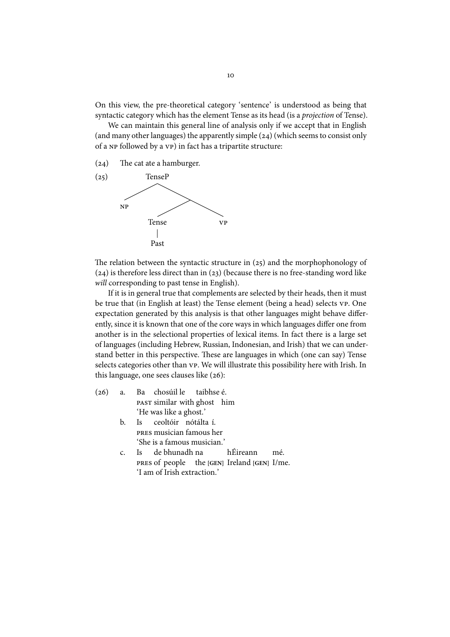On this view, the pre-theoretical category 'sentence' is understood as being that syntactic category which has the element Tense as its head (is a projection of Tense).

We can maintain this general line of analysis only if we accept that in English (and many other languages) the apparently simple  $(24)$  (which seems to consist only of a NP followed by a VP) in fact has a tripartite structure:

 $(24)$  The cat ate a hamburger.



The relation between the syntactic structure in  $(25)$  and the morphophonology of  $(24)$  is therefore less direct than in  $(23)$  (because there is no free-standing word like will corresponding to past tense in English).

If it is in general true that complements are selected by their heads, then it must be true that (in English at least) the Tense element (being a head) selects vp. One expectation generated by this analysis is that other languages might behave differently, since it is known that one of the core ways in which languages differ one from another is in the selectional properties of lexical items. In fact there is a large set of languages (including Hebrew, Russian, Indonesian, and Irish) that we can understand better in this perspective. These are languages in which (one can say) Tense selects categories other than vp. We will illustrate this possibility here with Irish. In this language, one sees clauses like  $(26)$ :

- $(26)$  a. Ba PAST similar with ghost him chosúil le taibhse é. 'He was like a ghost.'
	- b. Is musician famous her ceoltóir nótálta í. 'She is a famous musician.'
	- c. Is **PRES** of people de bhunadh na the **[GEN]** Ireland **[GEN]** I/me. hÉireann mé. 'I am of Irish extraction.'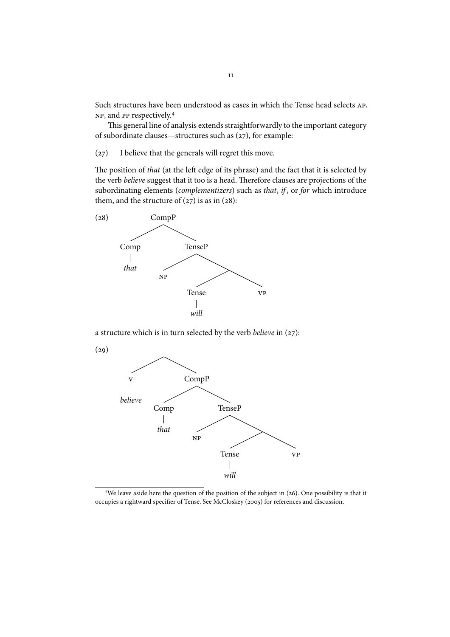Such structures have been understood as cases in which the Tense head selects AP, NP, and PP respectively.<sup>4</sup>

This general line of analysis extends straightforwardly to the important category of subordinate clauses—structures such as  $(27)$ , for example:

(27) I believe that the generals will regret this move.

The position of that (at the left edge of its phrase) and the fact that it is selected by the verb believe suggest that it too is a head. Therefore clauses are projections of the subordinating elements (complementizers) such as that, if, or for which introduce them, and the structure of  $(27)$  is as in  $(28)$ :



a structure which is in turn selected by the verb believe in  $(27)$ :



<sup>&</sup>lt;sup>4</sup>We leave aside here the question of the position of the subject in  $(26)$ . One possibility is that it occupies a rightward specifier of Tense. See McCloskey (2005) for references and discussion.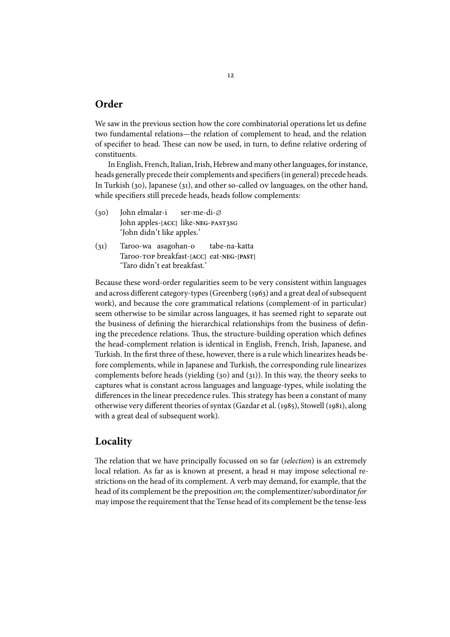## **Order**

We saw in the previous section how the core combinatorial operations let us define two fundamental relations—the relation of complement to head, and the relation of specifier to head. These can now be used, in turn, to define relative ordering of constituents.

In English, French, Italian, Irish, Hebrew and many other languages, for instance, heads generally precede their complements and specifiers (in general) precede heads. In Turkish (30), Japanese (31), and other so-called  $\sigma v$  languages, on the other hand, while specifiers still precede heads, heads follow complements:

- (30) John elmalar-i John apples-**[ACC]** like-**NEG** ser-me-di-∅ 'John didn't like apples.'
- () Taroo-wa asagohan-o Taroo- breakfast-**[ACC]** eat-**NEG**-**[PAST]** tabe-na-katta 'Taro didn't eat breakfast.'

Because these word-order regularities seem to be very consistent within languages and across different category-types (Greenberg (1963) and a great deal of subsequent work), and because the core grammatical relations (complement-of in particular) seem otherwise to be similar across languages, it has seemed right to separate out the business of defining the hierarchical relationships from the business of defining the precedence relations. Thus, the structure-building operation which defines the head-complement relation is identical in English, French, Irish, Japanese, and Turkish. In the first three of these, however, there is a rule which linearizes heads before complements, while in Japanese and Turkish, the corresponding rule linearizes complements before heads (yielding  $(30)$  and  $(31)$ ). In this way, the theory seeks to captures what is constant across languages and language-types, while isolating the differences in the linear precedence rules. This strategy has been a constant of many otherwise very different theories of syntax (Gazdar et al. (1985), Stowell (1981), along with a great deal of subsequent work).

## **Locality**

The relation that we have principally focussed on so far *(selection)* is an extremely local relation. As far as is known at present, a head  $H$  may impose selectional restrictions on the head of its complement. A verb may demand, for example, that the head of its complement be the preposition on; the complementizer/subordinator for may impose the requirement that the Tense head of its complement be the tense-less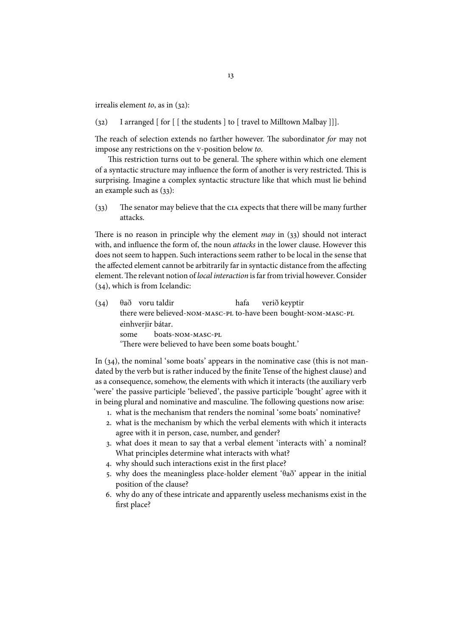irrealis element to, as in  $(32)$ :

(32) I arranged  $\lceil$  for  $\lceil$   $\lceil$  the students  $\lceil$  to  $\lceil$  travel to Milltown Malbay  $\lceil$   $\rceil$ .

The reach of selection extends no farther however. The subordinator for may not impose any restrictions on the v-position below to.

This restriction turns out to be general. The sphere within which one element of a syntactic structure may influence the form of another is very restricted. This is surprising. Imagine a complex syntactic structure like that which must lie behind an example such as  $(33)$ :

 $(33)$  The senator may believe that the CIA expects that there will be many further attacks.

There is no reason in principle why the element *may* in  $(33)$  should not interact with, and influence the form of, the noun *attacks* in the lower clause. However this does not seem to happen. Such interactions seem rather to be local in the sense that the affected element cannot be arbitrarily far in syntactic distance from the affecting element. The relevant notion of local interaction is far from trivial however. Consider  $(34)$ , which is from Icelandic:

 $(34)$ there were believed-NOM-MASC-PL to-have been bought-NOM-MASC-PL voru taldir hafa verið keyptir einhverjir bátar. some boats-NOM-MASC-PL 'There were believed to have been some boats bought.'

In  $(34)$ , the nominal 'some boats' appears in the nominative case (this is not mandated by the verb but is rather induced by the finite Tense of the highest clause) and as a consequence, somehow, the elements with which it interacts (the auxiliary verb 'were' the passive participle 'believed', the passive participle 'bought' agree with it in being plural and nominative and masculine. The following questions now arise:

- . what is the mechanism that renders the nominal 'some boats' nominative?
- . what is the mechanism by which the verbal elements with which it interacts agree with it in person, case, number, and gender?
- . what does it mean to say that a verbal element 'interacts with' a nominal? What principles determine what interacts with what?
- . why should such interactions exist in the first place?
- 5. why does the meaningless place-holder element ' $\theta$ að' appear in the initial position of the clause?
- . why do any of these intricate and apparently useless mechanisms exist in the first place?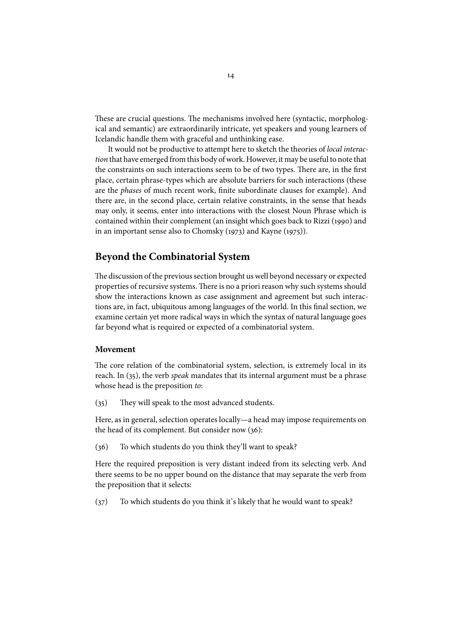These are crucial questions. The mechanisms involved here (syntactic, morphological and semantic) are extraordinarily intricate, yet speakers and young learners of Icelandic handle them with graceful and unthinking ease.

It would not be productive to attempt here to sketch the theories of local interaction that have emerged from this body of work. However, it may be useful to note that the constraints on such interactions seem to be of two types. There are, in the first place, certain phrase-types which are absolute barriers for such interactions (these are the phases of much recent work, finite subordinate clauses for example). And there are, in the second place, certain relative constraints, in the sense that heads may only, it seems, enter into interactions with the closest Noun Phrase which is contained within their complement (an insight which goes back to Rizzi (1990) and in an important sense also to Chomsky  $(1973)$  and Kayne  $(1975)$ ).

## **Beyond the Combinatorial System**

The discussion of the previous section brought us well beyond necessary or expected properties of recursive systems. There is no a priori reason why such systems should show the interactions known as case assignment and agreement but such interactions are, in fact, ubiquitous among languages of the world. In this final section, we examine certain yet more radical ways in which the syntax of natural language goes far beyond what is required or expected of a combinatorial system.

### **Movement**

The core relation of the combinatorial system, selection, is extremely local in its reach. In  $(35)$ , the verb speak mandates that its internal argument must be a phrase whose head is the preposition to:

 $(35)$  They will speak to the most advanced students.

Here, as in general, selection operates locally—a head may impose requirements on the head of its complement. But consider now  $(36)$ :

 $(36)$  To which students do you think they'll want to speak?

Here the required preposition is very distant indeed from its selecting verb. And there seems to be no upper bound on the distance that may separate the verb from the preposition that it selects:

 $(37)$  To which students do you think it's likely that he would want to speak?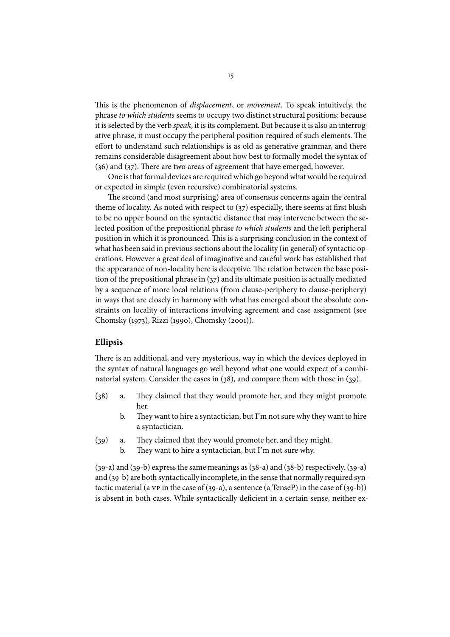This is the phenomenon of *displacement*, or *movement*. To speak intuitively, the phrase to which students seems to occupy two distinct structural positions: because it is selected by the verb speak, it is its complement. But because it is also an interrogative phrase, it must occupy the peripheral position required of such elements. The effort to understand such relationships is as old as generative grammar, and there remains considerable disagreement about how best to formally model the syntax of  $(36)$  and  $(37)$ . There are two areas of agreement that have emerged, however.

One is that formal devices are required which go beyond what would be required or expected in simple (even recursive) combinatorial systems.

The second (and most surprising) area of consensus concerns again the central theme of locality. As noted with respect to  $(37)$  especially, there seems at first blush to be no upper bound on the syntactic distance that may intervene between the selected position of the prepositional phrase to which students and the left peripheral position in which it is pronounced. This is a surprising conclusion in the context of what has been said in previous sections about the locality (in general) of syntactic operations. However a great deal of imaginative and careful work has established that the appearance of non-locality here is deceptive. The relation between the base position of the prepositional phrase in  $(37)$  and its ultimate position is actually mediated by a sequence of more local relations (from clause-periphery to clause-periphery) in ways that are closely in harmony with what has emerged about the absolute constraints on locality of interactions involving agreement and case assignment (see Chomsky (1973), Rizzi (1990), Chomsky (2001).

#### **Ellipsis**

There is an additional, and very mysterious, way in which the devices deployed in the syntax of natural languages go well beyond what one would expect of a combinatorial system. Consider the cases in  $(38)$ , and compare them with those in  $(39)$ .

- $(38)$  a. They claimed that they would promote her, and they might promote her.
	- b. They want to hire a syntactician, but I'm not sure why they want to hire a syntactician.
- (39) a. They claimed that they would promote her, and they might.
	- b. They want to hire a syntactician, but I'm not sure why.

 $(39-a)$  and  $(39-b)$  express the same meanings as  $(38-a)$  and  $(38-b)$  respectively.  $(39-a)$ and  $(39-b)$  are both syntactically incomplete, in the sense that normally required syntactic material (a  $VP$  in the case of (39-a), a sentence (a TenseP) in the case of (39-b)) is absent in both cases. While syntactically deficient in a certain sense, neither ex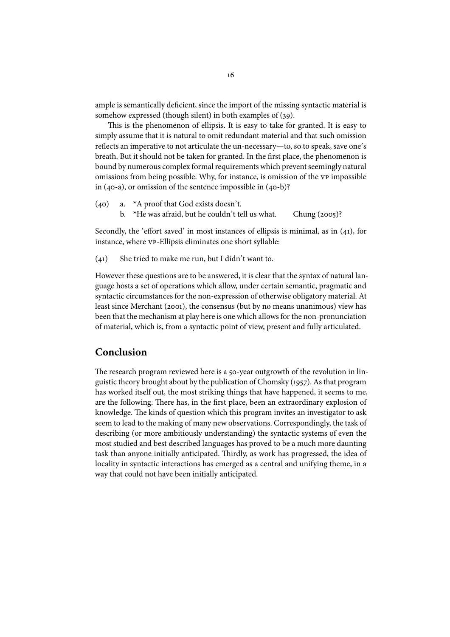ample is semantically deficient, since the import of the missing syntactic material is somehow expressed (though silent) in both examples of  $(39)$ .

This is the phenomenon of ellipsis. It is easy to take for granted. It is easy to simply assume that it is natural to omit redundant material and that such omission reflects an imperative to not articulate the un-necessary—to, so to speak, save one's breath. But it should not be taken for granted. In the first place, the phenomenon is bound by numerous complex formal requirements which prevent seemingly natural omissions from being possible. Why, for instance, is omission of the vp impossible in (40-a), or omission of the sentence impossible in  $(40-b)$ ?

- $(40)$  a. \*A proof that God exists doesn't.
	- b. \*He was afraid, but he couldn't tell us what. Chung  $(2005)$ ?

Secondly, the 'effort saved' in most instances of ellipsis is minimal, as in  $(41)$ , for instance, where  $VP$ -Ellipsis eliminates one short syllable:

 $(41)$  She tried to make me run, but I didn't want to.

However these questions are to be answered, it is clear that the syntax of natural language hosts a set of operations which allow, under certain semantic, pragmatic and syntactic circumstances for the non-expression of otherwise obligatory material. At least since Merchant (2001), the consensus (but by no means unanimous) view has been that the mechanism at play here is one which allows for the non-pronunciation of material, which is, from a syntactic point of view, present and fully articulated.

## **Conclusion**

The research program reviewed here is a 50-year outgrowth of the revolution in linguistic theory brought about by the publication of Chomsky (1957). As that program has worked itself out, the most striking things that have happened, it seems to me, are the following. There has, in the first place, been an extraordinary explosion of knowledge. The kinds of question which this program invites an investigator to ask seem to lead to the making of many new observations. Correspondingly, the task of describing (or more ambitiously understanding) the syntactic systems of even the most studied and best described languages has proved to be a much more daunting task than anyone initially anticipated. Thirdly, as work has progressed, the idea of locality in syntactic interactions has emerged as a central and unifying theme, in a way that could not have been initially anticipated.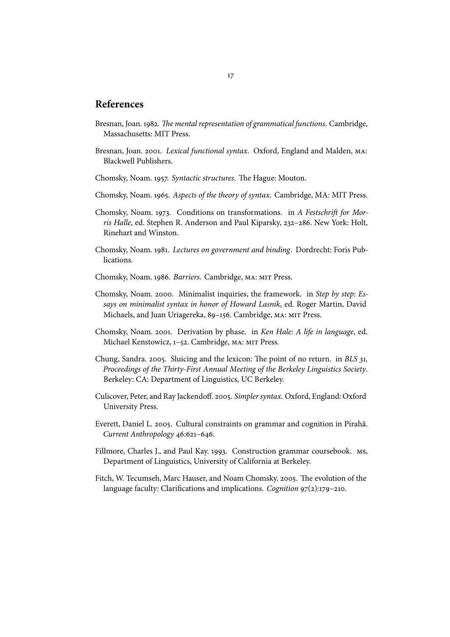## **References**

- Bresnan, Joan. 1982. The mental representation of grammatical functions. Cambridge, Massachusetts: MIT Press.
- Bresnan, Joan. 2001. Lexical functional syntax. Oxford, England and Malden, MA: Blackwell Publishers.
- Chomsky, Noam. 1957. Syntactic structures. The Hague: Mouton.
- Chomsky, Noam. 1965. Aspects of the theory of syntax. Cambridge, MA: MIT Press.
- Chomsky, Noam. 1973. Conditions on transformations. in A Festschrift for Morris Halle, ed. Stephen R. Anderson and Paul Kiparsky, 232-286. New York: Holt, Rinehart and Winston.
- Chomsky, Noam. 1981. Lectures on government and binding. Dordrecht: Foris Publications.
- Chomsky, Noam. 1986. Barriers. Cambridge, MA: MIT Press.
- Chomsky, Noam. 2000. Minimalist inquiries, the framework. in Step by step: Essays on minimalist syntax in honor of Howard Lasnik, ed. Roger Martin, David Michaels, and Juan Uriagereka, 89-156. Cambridge, MA: MIT Press.
- Chomsky, Noam. 2001. Derivation by phase. in Ken Hale: A life in language, ed. Michael Kenstowicz, 1-52. Cambridge, MA: MIT Press.
- Chung, Sandra. 2005. Sluicing and the lexicon: The point of no return. in BLS 31, Proceedings of the Thirty-First Annual Meeting of the Berkeley Linguistics Society. Berkeley: CA: Department of Linguistics, UC Berkeley.
- Culicover, Peter, and Ray Jackendoff. 2005. Simpler syntax. Oxford, England: Oxford University Press.
- Everett, Daniel L. 2005. Cultural constraints on grammar and cognition in Pirahã. Current Anthropology 46:621-646.
- Fillmore, Charles J., and Paul Kay. 1993. Construction grammar coursebook. Ms, Department of Linguistics, University of California at Berkeley.
- Fitch, W. Tecumseh, Marc Hauser, and Noam Chomsky. 2005. The evolution of the language faculty: Clarifications and implications. Cognition  $97(2):179-210$ .